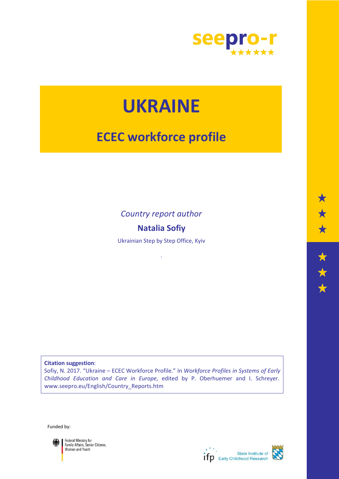

# **UKRAINE**

## **ECEC workforce profile**

*Country report author*

## **Natalia Sofiy**

Ukrainian Step by Step Office, Kyiv

.

**Citation suggestion**: Sofiy, N. 2017. "Ukraine – ECEC Workforce Profile." In *Workforce Profiles in Systems of Early Childhood Education and Care in Europe*, edited by P. Oberhuemer and I. Schreyer. www.seepro.eu/English/Country\_Reports.htm

Funded by:



Federal Ministry for<br>Family Affairs, Senior Citizens,<br>Women and Youth

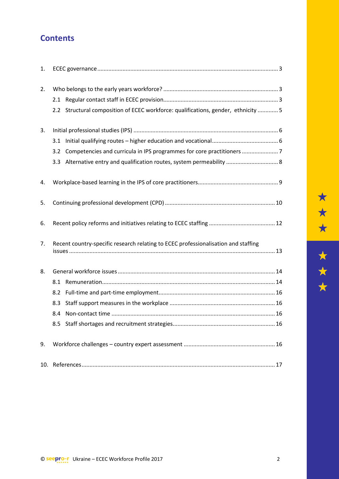## **Contents**

| 1.  |                                                                                    |                                                                                    |  |  |  |
|-----|------------------------------------------------------------------------------------|------------------------------------------------------------------------------------|--|--|--|
| 2.  |                                                                                    |                                                                                    |  |  |  |
|     |                                                                                    |                                                                                    |  |  |  |
|     |                                                                                    | 2.2 Structural composition of ECEC workforce: qualifications, gender, ethnicity  5 |  |  |  |
| 3.  |                                                                                    |                                                                                    |  |  |  |
|     |                                                                                    |                                                                                    |  |  |  |
|     |                                                                                    | 3.2 Competencies and curricula in IPS programmes for core practitioners  7         |  |  |  |
|     |                                                                                    | 3.3 Alternative entry and qualification routes, system permeability  8             |  |  |  |
| 4.  |                                                                                    |                                                                                    |  |  |  |
| 5.  |                                                                                    |                                                                                    |  |  |  |
| 6.  |                                                                                    |                                                                                    |  |  |  |
| 7.  | Recent country-specific research relating to ECEC professionalisation and staffing |                                                                                    |  |  |  |
| 8.  |                                                                                    |                                                                                    |  |  |  |
|     | 8.1                                                                                |                                                                                    |  |  |  |
|     | 8.2                                                                                |                                                                                    |  |  |  |
|     | 8.3                                                                                |                                                                                    |  |  |  |
|     | 8.4                                                                                |                                                                                    |  |  |  |
|     |                                                                                    |                                                                                    |  |  |  |
| 9.  |                                                                                    |                                                                                    |  |  |  |
| 10. |                                                                                    |                                                                                    |  |  |  |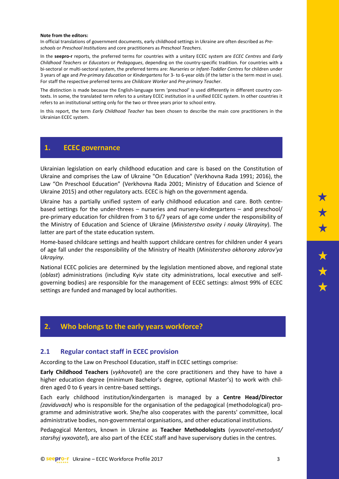#### **Note from the editors:**

In official translations of government documents, early childhood settings in Ukraine are often described as *Preschools* or *Preschool Institutions* and core practitioners as *Preschool Teachers*.

In the **seepro-r** reports, the preferred terms for countries with a unitary ECEC system are *ECEC Centres* and *Early Childhood Teachers* or *Educators* or *Pedagogues*, depending on the country-specific tradition. For countries with a bi-sectoral or multi-sectoral system, the preferred terms are: *Nurseries* or *Infant-Toddler Centres* for children under 3 years of age and *Pre-primary Education* or *Kindergartens* for 3- to 6-year olds (if the latter is the term most in use). For staff the respective preferred terms are *Childcare Worker* and *Pre-primary Teacher*.

The distinction is made because the English-language term 'preschool' is used differently in different country contexts. In some, the translated term refers to a unitary ECEC institution in a unified ECEC system. In other countries it refers to an institutional setting only for the two or three years prior to school entry.

In this report, the term *Early Childhood Teacher* has been chosen to describe the main core practitioners in the Ukrainian ECEC system.

#### <span id="page-2-0"></span>**1. ECEC governance**

Ukrainian legislation on early childhood education and care is based on the Constitution of Ukraine and comprises the Law of Ukraine "On Education" (Verkhovna Rada 1991; 2016), the Law "On Preschool Education" (Verkhovna Rada 2001; Ministry of Education and Science of Ukraine 2015) and other regulatory acts. ECEC is high on the government agenda.

Ukraine has a partially unified system of early childhood education and care. Both centrebased settings for the under-threes – nurseries and nursery-kindergartens – and preschool/ pre-primary education for children from 3 to 6/7 years of age come under the responsibility of the Ministry of Education and Science of Ukraine (*Ministerstvo osvity i nauky Ukrayiny*). The latter are part of the state education system.

Home-based childcare settings and health support childcare centres for children under 4 years of age fall under the responsibility of the Ministry of Health (*Ministerstvo okhorony zdorov'ya Ukrayiny.* 

National ECEC policies are determined by the legislation mentioned above, and regional state (*oblast*) administrations (including Kyiv state city administrations, local executive and selfgoverning bodies) are responsible for the management of ECEC settings: almost 99% of ECEC settings are funded and managed by local authorities.

#### <span id="page-2-1"></span>**2. Who belongs to the early years workforce?**

#### <span id="page-2-2"></span>**2.1 Regular contact staff in ECEC provision**

According to the Law on Preschool Education, staff in ECEC settings comprise:

**Early Childhood Teachers** (*vykhovatel*) are the core practitioners and they have to have a higher education degree (minimum Bachelor's degree, optional Master's) to work with children aged 0 to 6 years in centre-based settings.

Each early childhood institution/kindergarten is managed by a **Centre Head/Director** *(zaviduvach)* who is responsible for the organisation of the pedagogical (methodological) programme and administrative work. She/he also cooperates with the parents' committee, local administrative bodies, non-governmental organisations, and other educational institutions.

Pedagogical Mentors, known in Ukraine as **Teacher Methodologists** (*vyxovatel-metodyst/ starshyj vyxovatel*), are also part of the ECEC staff and have supervisory duties in the centres.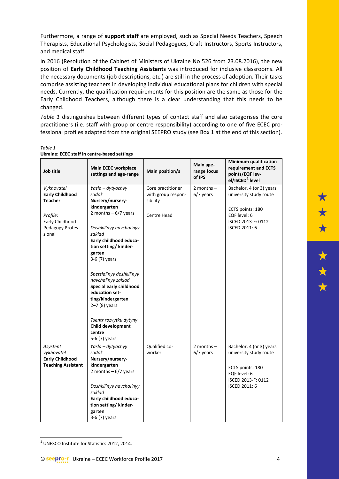Furthermore, a range of **support staff** are employed, such as Special Needs Teachers, Speech Therapists, Educational Psychologists, Social Pedagogues, Craft Instructors, Sports Instructors, and medical staff.

In 2016 (Resolution of the Cabinet of Ministers of Ukraine No 526 from 23.08.2016), the new position of **Early Childhood Teaching Assistants** was introduced for inclusive classrooms. All the necessary documents (job descriptions, etc.) are still in the process of adoption. Their tasks comprise assisting teachers in developing individual educational plans for children with special needs. Currently, the qualification requirements for this position are the same as those for the Early Childhood Teachers, although there is a clear understanding that this needs to be changed.

*Table 1* distinguishes between different types of contact staff and also categorises the core practitioners (i.e. staff with group or centre responsibility) according to one of five ECEC professional profiles adapted from the original SEEPRO study (see Box 1 at the end of this section).

| ×. |  |
|----|--|
|----|--|

| Job title                                                                                                           | <b>Main ECEC workplace</b><br>settings and age-range                                                                                                                                                                                                                                                                                                                                                                       | Main position/s                                                           | Main age-<br>range focus<br>of IPS | <b>Minimum qualification</b><br>requirement and ECTS<br>points/EQF lev-<br>el/ISCED <sup>1</sup> level                        |
|---------------------------------------------------------------------------------------------------------------------|----------------------------------------------------------------------------------------------------------------------------------------------------------------------------------------------------------------------------------------------------------------------------------------------------------------------------------------------------------------------------------------------------------------------------|---------------------------------------------------------------------------|------------------------------------|-------------------------------------------------------------------------------------------------------------------------------|
| Vykhovatel<br><b>Early Childhood</b><br><b>Teacher</b><br>Profile:<br>Early Childhood<br>Pedagogy Profes-<br>sional | Yasla - dytyachyy<br>sadok<br>Nursery/nursery-<br>kindergarten<br>2 months $-6/7$ years<br>Doshkil'nyy navchal'nyy<br>zaklad<br>Early childhood educa-<br>tion setting/ kinder-<br>garten<br>3-6 (7) years<br>Spetsial'nyy doshkil'nyy<br>navchal'nyy zaklad<br>Special early childhood<br>education set-<br>ting/kindergarten<br>$2-7(8)$ years<br>Tsentr rozvytku dytyny<br>Child development<br>centre<br>5-6 (7) years | Core practitioner<br>with group respon-<br>sibility<br><b>Centre Head</b> | 2 months $-$<br>$6/7$ years        | Bachelor, 4 (or 3) years<br>university study route<br>ECTS points: 180<br>EQF level: 6<br>ISCED 2013-F: 0112<br>ISCED 2011: 6 |
| Asystent<br>vykhovatel<br><b>Early Childhood</b><br><b>Teaching Assistant</b>                                       | Yasla - dytyachyy<br>sadok<br>Nursery/nursery-<br>kindergarten<br>2 months $-6/7$ years<br>Doshkil'nyy navchal'nyy<br>zaklad<br>Early childhood educa-<br>tion setting/ kinder-<br>garten<br>3-6 (7) years                                                                                                                                                                                                                 | Qualified co-<br>worker                                                   | 2 months $-$<br>$6/7$ years        | Bachelor, 4 (or 3) years<br>university study route<br>ECTS points: 180<br>EQF level: 6<br>ISCED 2013-F: 0112<br>ISCED 2011: 6 |

#### **Ukraine: ECEC staff in centre-based settings**

 $\overline{\phantom{a}}$ 

<span id="page-3-0"></span><sup>&</sup>lt;sup>1</sup> UNESCO Institute for Statistics 2012, 2014.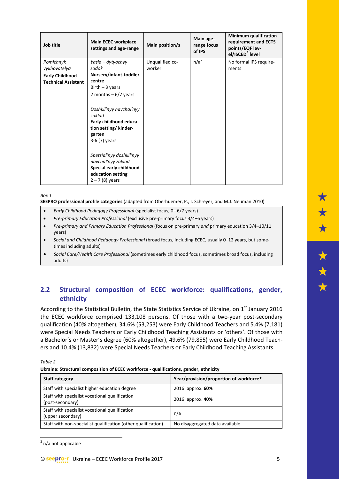| Job title                                                                         | <b>Main ECEC workplace</b><br>settings and age-range                                                                                                                                                                            | Main position/s           | Main age-<br>range focus<br>of IPS | <b>Minimum qualification</b><br>requirement and ECTS<br>points/EQF lev-<br>el/ISCED <sup>1</sup> level |
|-----------------------------------------------------------------------------------|---------------------------------------------------------------------------------------------------------------------------------------------------------------------------------------------------------------------------------|---------------------------|------------------------------------|--------------------------------------------------------------------------------------------------------|
| Pomichnyk<br>vykhovatelya<br><b>Early Childhood</b><br><b>Technical Assistant</b> | Yasla – dytyachyy<br>sadok<br>Nursery/infant-toddler<br>centre<br>Birth $-3$ years<br>2 months $-6/7$ years<br>Doshkil'nyy navchal'nyy<br>zaklad<br>Early childhood educa-<br>tion setting/ kinder-<br>garten<br>$3-6(7)$ years | Unqualified co-<br>worker | n/a <sup>2</sup>                   | No formal IPS require-<br>ments                                                                        |
|                                                                                   | Spetsial'nyy doshkil'nyy<br>navchal'nyy zaklad<br>Special early childhood<br>education setting<br>$2 - 7(8)$ years                                                                                                              |                           |                                    |                                                                                                        |

*Box 1* 

**SEEPRO professional profile categories** (adapted from Oberhuemer, P., I. Schreyer, and M.J. Neuman 2010)

- *Early Childhood Pedagogy Professional* (specialist focus, 0– 6/7 years)
- *Pre-primary Education Professional* (exclusive pre-primary focus 3/4–6 years)
- *Pre-primary and Primary Education Professional* (focus on pre-primary *and* primary education 3/4–10/11 years)
- *Social and Childhood Pedagogy Professional* (broad focus, including ECEC, usually 0–12 years, but sometimes including adults)
- *Social Care/Health Care Professional* (sometimes early childhood focus, sometimes broad focus, including adults)

## <span id="page-4-0"></span>**2.2 Structural composition of ECEC workforce: qualifications, gender, ethnicity**

According to the Statistical Bulletin, the State Statistics Service of Ukraine, on 1<sup>st</sup> January 2016 the ECEC workforce comprised 133,108 persons. Of those with a two-year post-secondary qualification (40% altogether), 34.6% (53,253) were Early Childhood Teachers and 5.4% (7,181) were Special Needs Teachers or Early Childhood Teaching Assistants or 'others'. Of those with a Bachelor's or Master's degree (60% altogether), 49.6% (79,855) were Early Childhood Teachers and 10.4% (13,832) were Special Needs Teachers or Early Childhood Teaching Assistants.

*Table 2*

**Ukraine: Structural composition of ECEC workforce - qualifications, gender, ethnicity**

| <b>Staff category</b>                                               | Year/provision/proportion of workforce* |
|---------------------------------------------------------------------|-----------------------------------------|
| Staff with specialist higher education degree                       | 2016: approx. 60%                       |
| Staff with specialist vocational qualification<br>(post-secondary)  | 2016: approx. 40%                       |
| Staff with specialist vocational qualification<br>(upper secondary) | n/a                                     |
| Staff with non-specialist qualification (other qualification)       | No disaggregated data available         |

<span id="page-4-1"></span><sup>2</sup> n/a not applicable

 $\overline{\phantom{a}}$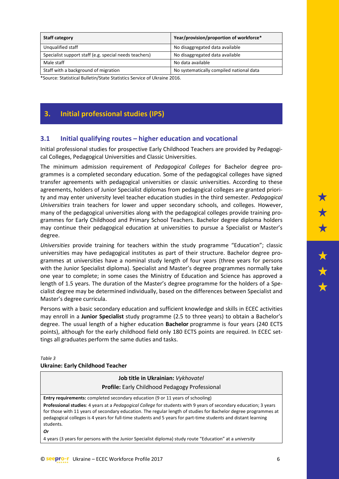| <b>Staff category</b>                                                    | Year/provision/proportion of workforce*  |  |  |
|--------------------------------------------------------------------------|------------------------------------------|--|--|
| Unqualified staff                                                        | No disaggregated data available          |  |  |
| Specialist support staff (e.g. special needs teachers)                   | No disaggregated data available          |  |  |
| Male staff                                                               | No data available                        |  |  |
| Staff with a background of migration                                     | No systematically compiled national data |  |  |
| *Course: Statistical Bulletin (State Statistics Senvise of Ukraine 2016) |                                          |  |  |

\*Source: Statistical Bulletin/State Statistics Service of Ukraine 2016.

## <span id="page-5-0"></span>**3. Initial professional studies (IPS)**

### <span id="page-5-1"></span>**3.1 Initial qualifying routes – higher education and vocational**

Initial professional studies for prospective Early Childhood Teachers are provided by Pedagogical Colleges, Pedagogical Universities and Classic Universities.

The minimum admission requirement of *Pedagogical Colleges* for Bachelor degree programmes is a completed secondary education. Some of the pedagogical colleges have signed transfer agreements with pedagogical universities or classic universities. According to these agreements, holders of Junior Specialist diplomas from pedagogical colleges are granted priority and may enter university level teacher education studies in the third semester. *Pedagogical Universities* train teachers for lower and upper secondary schools, and colleges. However, many of the pedagogical universities along with the pedagogical colleges provide training programmes for Early Childhood and Primary School Teachers. Bachelor degree diploma holders may continue their pedagogical education at universities to pursue a Specialist or Master's degree.

*Universities* provide training for teachers within the study programme "Education"; classic universities may have pedagogical institutes as part of their structure. Bachelor degree programmes at universities have a nominal study length of four years (three years for persons with the Junior Specialist diploma). Specialist and Master's degree programmes normally take one year to complete; in some cases the Ministry of Education and Science has approved a length of 1.5 years. The duration of the Master's degree programme for the holders of a Specialist degree may be determined individually, based on the differences between Specialist and Master's degree curricula.

Persons with a basic secondary education and sufficient knowledge and skills in ECEC activities may enroll in a **Junior Specialist** study programme (2.5 to three years) to obtain a Bachelor's degree. The usual length of a higher education **Bachelor** programme is four years (240 ECTS points), although for the early childhood field only 180 ECTS points are required. In ECEC settings all graduates perform the same duties and tasks.

#### *Table 3* **Ukraine: Early Childhood Teacher**

**Job title in Ukrainian:** *Vykhovatel* **Profile:** Early Childhood Pedagogy Professional **Entry requirements:** completed secondary education (9 or 11 years of schooling) **Professional studies**: 4 years at a *Pedagogical College* for students with 9 years of secondary education; 3 years for those with 11 years of secondary education. The regular length of studies for Bachelor degree programmes at pedagogical colleges is 4 years for full-time students and 5 years for part-time students and distant learning students. *Or*

4 years (3 years for persons with the Junior Specialist diploma) study route "Education" at a *university*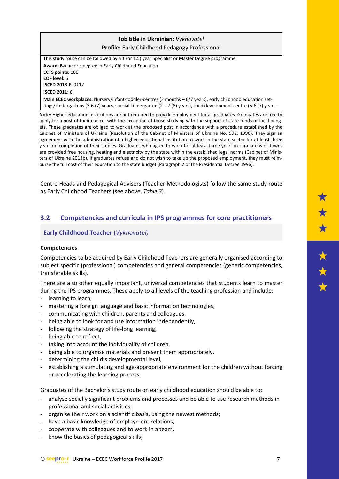## **Job title in Ukrainian:** *Vykhovatel* **Profile:** Early Childhood Pedagogy Professional

This study route can be followed by a 1 (or 1.5) year Specialist or Master Degree programme. **Award:** Bachelor's degree in Early Childhood Education **ECTS points:** 180 **EQF level:** 6 **ISCED 2013-F:** 0112 **ISCED 2011:** 6 **Main ECEC workplaces:** Nursery/infant-toddler-centres (2 months – 6/7 years), early childhood education settings/kindergartens (3-6 (7) years, special kindergarten (2 – 7 (8) years), child development centre (5-6 (7) years.

**Note:** Higher education institutions are not required to provide employment for all graduates. Graduates are free to apply for a post of their choice, with the exception of those studying with the support of state funds or local budgets. These graduates are obliged to work at the proposed post in accordance with a procedure established by the Cabinet of Ministers of Ukraine (Resolution of the Cabinet of Ministers of Ukraine No. 992, 1996). They sign an agreement with the administration of a higher educational institution to work in the state sector for at least three years on completion of their studies. Graduates who agree to work for at least three years in rural areas or towns are provided free housing, heating and electricity by the state within the established legal norms (Cabinet of Ministers of Ukraine 2011b). If graduates refuse and do not wish to take up the proposed employment, they must reimburse the full cost of their education to the state budget (Paragraph 2 of the Presidential Decree 1996).

Centre Heads and Pedagogical Advisers (Teacher Methodologists) follow the same study route as Early Childhood Teachers (see above, *Table 3*).

## <span id="page-6-0"></span>**3.2 Competencies and curricula in IPS programmes for core practitioners**

#### **Early Childhood Teacher** (*Vykhovatel)*

#### **Competencies**

Competencies to be acquired by Early Childhood Teachers are generally organised according to subject specific (professional) competencies and general competencies (generic competencies, transferable skills).

There are also other equally important, universal competencies that students learn to master during the IPS programmes. These apply to all levels of the teaching profession and include:

- learning to learn,
- mastering a foreign language and basic information technologies,
- communicating with children, parents and colleagues,
- being able to look for and use information independently,
- following the strategy of life-long learning,
- being able to reflect,
- taking into account the individuality of children,
- being able to organise materials and present them appropriately,
- determining the child's developmental level,
- establishing a stimulating and age-appropriate environment for the children without forcing or accelerating the learning process.

Graduates of the Bachelor's study route on early childhood education should be able to:

- analyse socially significant problems and processes and be able to use research methods in professional and social activities;
- organise their work on a scientific basis, using the newest methods;
- have a basic knowledge of employment relations,
- cooperate with colleagues and to work in a team,
- know the basics of pedagogical skills;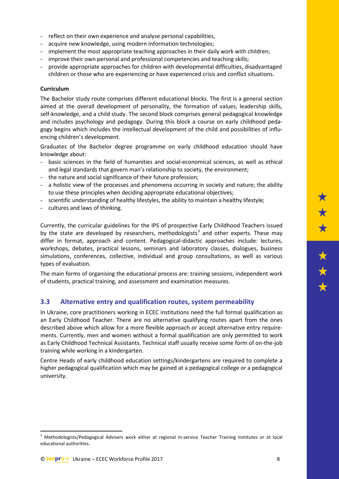- reflect on their own experience and analyse personal capabilities.
- acquire new knowledge, using modern information technologies;
- implement the most appropriate teaching approaches in their daily work with children;
- improve their own personal and professional competencies and teaching skills;
- provide appropriate approaches for children with developmental difficulties, disadvantaged children or those who are experiencing or have experienced crisis and conflict situations.

#### **Curriculum**

The Bachelor study route comprises different educational blocks. The first is a general section aimed at the overall development of personality, the formation of values, leadership skills, self-knowledge, and a child study. The second block comprises general pedagogical knowledge and includes psychology and pedagogy. During this block a course on early childhood pedagogy begins which includes the intellectual development of the child and possibilities of influencing children's development.

Graduates of the Bachelor degree programme on early childhood education should have knowledge about:

- basic sciences in the field of humanities and social-economical sciences, as well as ethical and legal standards that govern man's relationship to society, the environment;
- the nature and social significance of their future profession;
- a holistic view of the processes and phenomena occurring in society and nature; the ability to use these principles when deciding appropriate educational objectives;
- scientific understanding of healthy lifestyles, the ability to maintain a healthy lifestyle;
- cultures and laws of thinking.

Currently, the curricular guidelines for the IPS of prospective Early Childhood Teachers issued by the state are developed by researchers, methodologists<sup>[3](#page-7-1)</sup> and other experts. These may differ in format, approach and content. Pedagogical-didactic approaches include: lectures, workshops, debates, practical lessons, seminars and laboratory classes, dialogues, business simulations, conferences, collective, individual and group consultations, as well as various types of evaluation.

The main forms of organising the educational process are: training sessions, independent work of students, practical training, and assessment and examination measures.

#### <span id="page-7-0"></span>**3.3 Alternative entry and qualification routes, system permeability**

In Ukraine, core practitioners working in ECEC institutions need the full formal qualification as an Early Childhood Teacher. There are no alternative qualifying routes apart from the ones described above which allow for a more flexible approach or accept alternative entry requirements. Currently, men and women without a formal qualification are only permitted to work as Early Childhood Technical Assistants. Technical staff usually receive some form of on-the-job training while working in a kindergarten.

Centre Heads of early childhood education settings/kindergartens are required to complete a higher pedagogical qualification which may be gained at a pedagogical college or a pedagogical university.

**.** 

<span id="page-7-1"></span><sup>&</sup>lt;sup>3</sup> Methodologists/Pedagogical Advisers work either at regional In-service Teacher Training Institutes or at local educational authorities.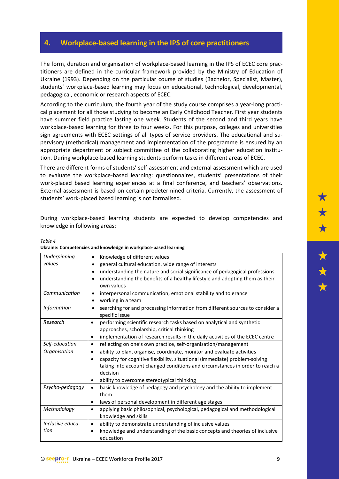## <span id="page-8-0"></span>**4. Workplace-based learning in the IPS of core practitioners**

The form, duration and organisation of workplace-based learning in the IPS of ECEC core practitioners are defined in the curricular framework provided by the Ministry of Education of Ukraine (1993). Depending on the particular course of studies (Bachelor, Specialist, Master), students` workplace-based learning may focus on educational, technological, developmental, pedagogical, economic or research aspects of ECEC.

According to the curriculum, the fourth year of the study course comprises a year-long practical placement for all those studying to become an Early Childhood Teacher. First year students have summer field practice lasting one week. Students of the second and third years have workplace-based learning for three to four weeks. For this purpose, colleges and universities sign agreements with ECEC settings of all types of service providers. The educational and supervisory (methodical) management and implementation of the programme is ensured by an appropriate department or subject committee of the collaborating higher education institution. During workplace-based learning students perform tasks in different areas of ECEC.

There are different forms of students' self-assessment and external assessment which are used to evaluate the workplace-based learning: questionnaires, students' presentations of their work-placed based learning experiences at a final conference, and teachers' observations. External assessment is based on certain predetermined criteria. Currently, the assessment of students` work-placed based learning is not formalised.

During workplace-based learning students are expected to develop competencies and knowledge in following areas:

| Underpinning       | Knowledge of different values<br>٠                                                                                                |
|--------------------|-----------------------------------------------------------------------------------------------------------------------------------|
| values             | general cultural education, wide range of interests                                                                               |
|                    | understanding the nature and social significance of pedagogical professions                                                       |
|                    | understanding the benefits of a healthy lifestyle and adopting them as their<br>own values                                        |
| Communication      | interpersonal communication, emotional stability and tolerance<br>$\bullet$                                                       |
|                    | working in a team<br>٠                                                                                                            |
| <b>Information</b> | searching for and processing information from different sources to consider a<br>$\bullet$<br>specific issue                      |
| Research           | performing scientific research tasks based on analytical and synthetic<br>$\bullet$<br>approaches, scholarship, critical thinking |
|                    | implementation of research results in the daily activities of the ECEC centre                                                     |
| Self-education     | reflecting on one's own practice, self-organisation/management<br>$\bullet$                                                       |
| Organisation       | ability to plan, organise, coordinate, monitor and evaluate activities<br>$\bullet$                                               |
|                    | $\bullet$                                                                                                                         |
|                    | capacity for cognitive flexibility, situational (immediate) problem-solving                                                       |
|                    | taking into account changed conditions and circumstances in order to reach a<br>decision                                          |
|                    | ability to overcome stereotypical thinking                                                                                        |
| Psycho-pedagogy    | basic knowledge of pedagogy and psychology and the ability to implement<br>$\bullet$                                              |
|                    | them                                                                                                                              |
|                    | laws of personal development in different age stages<br>٠                                                                         |
| Methodology        | applying basic philosophical, psychological, pedagogical and methodological<br>$\bullet$<br>knowledge and skills                  |
| Inclusive educa-   | ability to demonstrate understanding of inclusive values<br>$\bullet$                                                             |
| tion               | knowledge and understanding of the basic concepts and theories of inclusive                                                       |
|                    | education                                                                                                                         |

*Table 4* **Ukraine: Competencies and knowledge in workplace-based learning**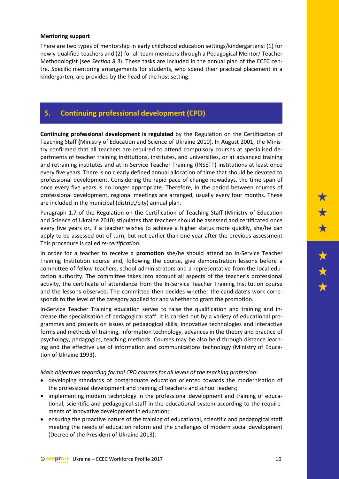#### **Mentoring support**

There are two types of mentorship in early childhood education settings/kindergartens: (1) for newly-qualified teachers and (2) for all team members through a Pedagogical Mentor/ Teacher Methodologist (see *Section 8.3*). These tasks are included in the annual plan of the ECEC centre. Specific mentoring arrangements for students, who spend their practical placement in a kindergarten, are provided by the head of the host setting.

#### <span id="page-9-0"></span>**5. Continuing professional development (CPD)**

**Continuing professional development is regulated** by the Regulation on the Certification of Teaching Staff **(**Ministry of Education and Science of Ukraine 2010). In August 2001, the Ministry confirmed that all teachers are required to attend compulsory courses at specialised departments of teacher training institutions, institutes, and universities, or at advanced training and retraining institutes and at In-Service Teacher Training (INSETT) institutions at least once every five years. There is no clearly defined annual allocation of time that should be devoted to professional development. Considering the rapid pace of change nowadays, the time span of once every five years is no longer appropriate. Therefore, in the period between courses of professional development, regional meetings are arranged, usually every four months. These are included in the municipal (district/city) annual plan.

Paragraph 1.7 of the Regulation on the Certification of Teaching Staff (Ministry of Education and Science of Ukraine 2010) stipulates that teachers should be assessed and certificated once every five years or, if a teacher wishes to achieve a higher status more quickly, she/he can apply to be assessed out of turn, but not earlier than one year after the previous assessment This procedure is called *re-certification.*

In order for a teacher to receive a **promotion** she/he should attend an In-Service Teacher Training Institution course and, following the course, give demonstration lessons before a committee of fellow teachers, school administrators and a representative from the local education authority. The committee takes into account all aspects of the teacher's professional activity, the certificate of attendance from the In-Service Teacher Training Institution course and the lessons observed. The committee then decides whether the candidate's work corresponds to the level of the category applied for and whether to grant the promotion.

In-Service Teacher Training education serves to raise the qualification and training and increase the specialisation of pedagogical staff. It is carried out by a variety of educational programmes and projects on issues of pedagogical skills, innovative technologies and interactive forms and methods of training, information technology, advances in the theory and practice of psychology, pedagogics, teaching methods. Courses may be also held through distance learning and the effective use of information and communications technology (Ministry of Education of Ukraine 1993).

*Main objectives regarding formal CPD courses for all levels of the teaching profession:*

- developing standards of postgraduate education oriented towards the modernisation of the professional development and training of teachers and school leaders;
- implementing modern technology in the professional development and training of educational, scientific and pedagogical staff in the educational system according to the requirements of innovative development in education;
- ensuring the proactive nature of the training of educational, scientific and pedagogical staff meeting the needs of education reform and the challenges of modern social development (Decree of the President of Ukraine 2013).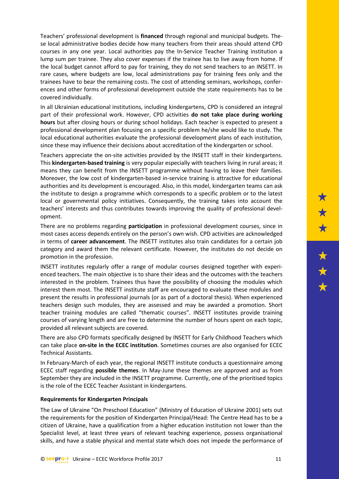Teachers' professional development is **financed** through regional and municipal budgets. These local administrative bodies decide how many teachers from their areas should attend CPD courses in any one year. Local authorities pay the In-Service Teacher Training institution a lump sum per trainee. They also cover expenses if the trainee has to live away from home. If the local budget cannot afford to pay for training, they do not send teachers to an INSETT. In rare cases, where budgets are low, local administrations pay for training fees only and the trainees have to bear the remaining costs. The cost of attending seminars, workshops, conferences and other forms of professional development outside the state requirements has to be covered individually.

In all Ukrainian educational institutions, including kindergartens, CPD is considered an integral part of their professional work. However, CPD activities **do not take place during working hours** but after closing hours or during school holidays. Each teacher is expected to present a professional development plan focusing on a specific problem he/she would like to study. The local educational authorities evaluate the professional development plans of each institution, since these may influence their decisions about accreditation of the kindergarten or school.

Teachers appreciate the on-site activities provided by the INSETT staff in their kindergartens. This **kindergarten-based training** is very popular especially with teachers living in rural areas; it means they can benefit from the INSETT programme without having to leave their families. Moreover, the low cost of kindergarten-based in-service training is attractive for educational authorities and its development is encouraged. Also, in this model, kindergarten teams can ask the institute to design a programme which corresponds to a specific problem or to the latest local or governmental policy initiatives. Consequently, the training takes into account the teachers' interests and thus contributes towards improving the quality of professional development.

There are no problems regarding **participation** in professional development courses, since in most cases access depends entirely on the person's own wish. CPD activities are acknowledged in terms of **career advancement**. The INSETT institutes also train candidates for a certain job category and award them the relevant certificate. However, the institutes do not decide on promotion in the profession.

INSETT institutes regularly offer a range of modular courses designed together with experienced teachers. The main objective is to share their ideas and the outcomes with the teachers interested in the problem. Trainees thus have the possibility of choosing the modules which interest them most. The INSETT institute staff are encouraged to evaluate these modules and present the results in professional journals (or as part of a doctoral thesis). When experienced teachers design such modules, they are assessed and may be awarded a promotion. Short teacher training modules are called "thematic courses". INSETT institutes provide training courses of varying length and are free to determine the number of hours spent on each topic, provided all relevant subjects are covered.

There are also CPD formats specifically designed by INSETT for Early Childhood Teachers which can take place **on-site in the ECEC institution**. Sometimes courses are also organised for ECEC Technical Assistants.

In February-March of each year, the regional INSETT institute conducts a questionnaire among ECEC staff regarding **possible themes**. In May-June these themes are approved and as from September they are included in the INSETT programme. Currently, one of the prioritised topics is the role of the ECEC Teacher Assistant in kindergartens.

#### **Requirements for Kindergarten Principals**

The Law of Ukraine "On Preschool Education" (Ministry of Education of Ukraine 2001) sets out the requirements for the position of Kindergarten Principal/Head: The Centre Head has to be a citizen of Ukraine, have a qualification from a higher education institution not lower than the Specialist level, at least three years of relevant teaching experience, possess organisational skills, and have a stable physical and mental state which does not impede the performance of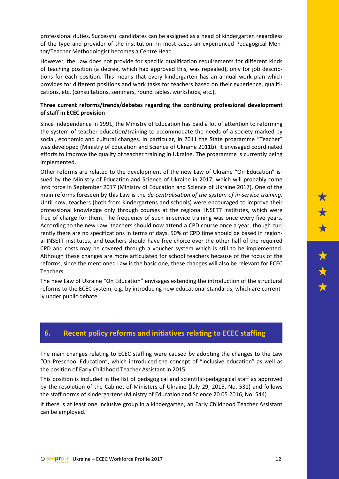professional duties. Successful candidates can be assigned as a head of kindergarten regardless of the type and provider of the institution. In most cases an experienced Pedagogical Mentor/Teacher Methodologist becomes a Centre Head.

However, the Law does not provide for specific qualification requirements for different kinds of teaching position (a decree, which had approved this, was repealed), only for job descriptions for each position. This means that every kindergarten has an annual work plan which provides for different positions and work tasks for teachers based on their experience, qualifications, etc. (consultations, seminars, round tables, workshops, etc.).

#### **Three current reforms/trends/debates regarding the continuing professional development of staff in ECEC provision**

Since independence in 1991, the Ministry of Education has paid a lot of attention to reforming the system of teacher education/training to accommodate the needs of a society marked by social, economic and cultural changes. In particular, in 2011 the State programme "Teacher" was developed (Ministry of Education and Science of Ukraine 2011b). It envisaged coordinated efforts to improve the quality of teacher training in Ukraine. The programme is currently being implemented.

Other reforms are related to the development of the new Law of Ukraine "On Education" issued by the Ministry of Education and Science of Ukraine in 2017, which will probably come into force in September 2017 (Ministry of Education and Science of Ukraine 2017). One of the main reforms foreseen by this Law is the *de-centralisation of the system of in-service training*. Until now, teachers (both from kindergartens and schools) were encouraged to improve their professional knowledge only through courses at the regional INSETT institutes, which were free of charge for them. The frequency of such in-service training was once every five years. According to the new Law, teachers should now attend a CPD course once a year, though currently there are no specifications in terms of days. 50% of CPD time should be based in regional INSETT institutes, and teachers should have free choice over the other half of the required CPD and costs may be covered through a voucher system which is still to be implemented. Although these changes are more articulated for school teachers because of the focus of the reforms, since the mentioned Law is the basic one, these changes will also be relevant for ECEC Teachers.

The new Law of Ukraine "On Education" envisages extending the introduction of the structural reforms to the ECEC system, e.g. by introducing new educational standards, which are currently under public debate.

## <span id="page-11-0"></span>**6. Recent policy reforms and initiatives relating to ECEC staffing**

The main changes relating to ECEC staffing were caused by adopting the changes to the Law "On Preschool Education", which introduced the concept of "inclusive education" as well as the position of Early Childhood Teacher Assistant in 2015.

This position is included in the list of pedagogical and scientific-pedagogical staff as approved by the resolution of the Cabinet of Ministers of Ukraine (July 29, 2015, No. 531) and follows the staff norms of kindergartens (Ministry of Education and Science 20.05.2016, No. 544).

If there is at least one inclusive group in a kindergarten, an Early Childhood Teacher Assistant can be employed.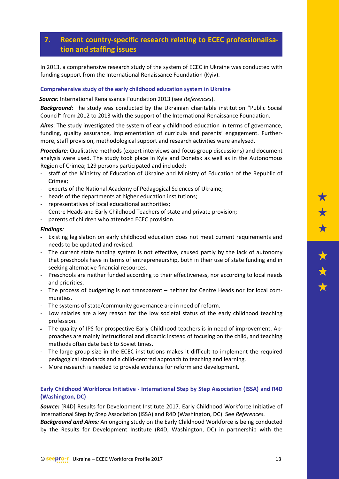## <span id="page-12-0"></span>**7. Recent country-specific research relating to ECEC professionalisation and staffing issues**

In 2013, a comprehensive research study of the system of ECEC in Ukraine was conducted with funding support from the International Renaissance Foundation (Kyiv).

#### **Comprehensive study of the early childhood education system in Ukraine**

*Source:* International Renaissance Foundation 2013 (see *References*).

*Background*: The study was conducted by the Ukrainian charitable institution "Public Social Council" from 2012 to 2013 with the support of the International Renaissance Foundation.

*Aims*: The study investigated the system of early childhood education in terms of governance, funding, quality assurance, implementation of curricula and parents' engagement. Furthermore, staff provision, methodological support and research activities were analysed.

*Procedure*: Qualitative methods (expert interviews and focus group discussions) and document analysis were used. The study took place in Kyiv and Donetsk as well as in the Autonomous Region of Crimea; 129 persons participated and included:

- staff of the Ministry of Education of Ukraine and Ministry of Education of the Republic of Crimea;
- experts of the National Academy of Pedagogical Sciences of Ukraine;
- heads of the departments at higher education institutions;
- representatives of local educational authorities:
- Centre Heads and Early Childhood Teachers of state and private provision;
- parents of children who attended ECEC provision.

#### *Findings:*

- Existing legislation on early childhood education does not meet current requirements and needs to be updated and revised.
- The current state funding system is not effective, caused partly by the lack of autonomy that preschools have in terms of entrepreneurship, both in their use of state funding and in seeking alternative financial resources.
- Preschools are neither funded according to their effectiveness, nor according to local needs and priorities.
- The process of budgeting is not transparent neither for Centre Heads nor for local communities.
- The systems of state/community governance are in need of reform.
- Low salaries are a key reason for the low societal status of the early childhood teaching profession.
- The quality of IPS for prospective Early Childhood teachers is in need of improvement. Approaches are mainly instructional and didactic instead of focusing on the child, and teaching methods often date back to Soviet times.
- The large group size in the ECEC institutions makes it difficult to implement the required pedagogical standards and a child-centred approach to teaching and learning.
- More research is needed to provide evidence for reform and development.

#### **Early Childhood Workforce Initiative - International Step by Step Association (ISSA) and R4D (Washington, DC)**

*Source:* [R4D] Results for Development Institute 2017. Early Childhood Workforce Initiative of International Step by Step Association (ISSA) and R4D (Washington, DC). See *References. Background and Aims:* An ongoing study on the Early Childhood Workforce is being conducted

by the Results for Development Institute (R4D, Washington, DC) in partnership with the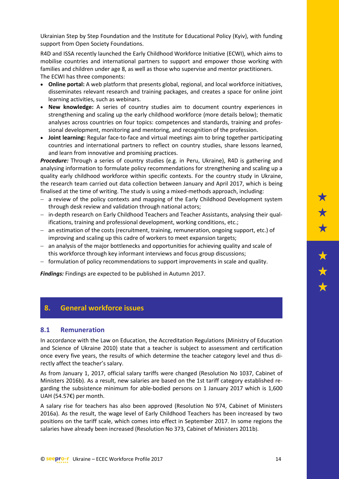Ukrainian Step by Step Foundation and the Institute for Educational Policy (Kyiv), with funding support from Open Society Foundations.

R4D and ISSA recently launched the Early Childhood Workforce Initiative (ECWI), which aims to mobilise countries and international partners to support and empower those working with families and children under age 8, as well as those who supervise and mentor practitioners. The ECWI has three components:

- **Online portal:** A web platform that presents global, regional, and local workforce initiatives, disseminates relevant research and training packages, and creates a space for online joint learning activities, such as webinars.
- **New knowledge:** A series of country studies aim to document country experiences in strengthening and scaling up the early childhood workforce (more details below); thematic analyses across countries on four topics: competences and standards, training and professional development, monitoring and mentoring, and recognition of the profession.
- **Joint learning:** Regular face-to-face and virtual meetings aim to bring together participating countries and international partners to reflect on country studies, share lessons learned, and learn from innovative and promising practices.

*Procedure:* Through a series of country studies (e.g. in Peru, Ukraine), R4D is gathering and analysing information to formulate policy recommendations for strengthening and scaling up a quality early childhood workforce within specific contexts. For the country study in Ukraine, the research team carried out data collection between January and April 2017, which is being finalised at the time of writing. The study is using a mixed-methods approach, including:

- − a review of the policy contexts and mapping of the Early Childhood Development system through desk review and validation through national actors;
- − in-depth research on Early Childhood Teachers and Teacher Assistants, analysing their qualifications, training and professional development, working conditions, etc.;
- − an estimation of the costs (recruitment, training, remuneration, ongoing support, etc.) of improving and scaling up this cadre of workers to meet expansion targets;
- − an analysis of the major bottlenecks and opportunities for achieving quality and scale of this workforce through key informant interviews and focus group discussions;
- − formulation of policy recommendations to support improvements in scale and quality.

*Findings:* Findings are expected to be published in Autumn 2017.

#### <span id="page-13-0"></span>**8. General workforce issues**

#### <span id="page-13-1"></span>**8.1 Remuneration**

In accordance with the Law on Education, the Accreditation Regulations (Ministry of Education and Science of Ukraine 2010) state that a teacher is subject to assessment and certification once every five years, the results of which determine the teacher category level and thus directly affect the teacher's salary.

As from January 1, 2017, official salary tariffs were changed (Resolution No 1037, Cabinet of Ministers 2016b). As a result, new salaries are based on the 1st tariff category established regarding the subsistence minimum for able-bodied persons on 1 January 2017 which is 1,600 UAH (54.57€) per month.

A salary rise for teachers has also been approved (Resolution No 974, Cabinet of Ministers 2016a). As the result, the wage level of Early Childhood Teachers has been increased by two positions on the tariff scale, which comes into effect in September 2017. In some regions the salaries have already been increased (Resolution No 373, Cabinet of Ministers 2011b).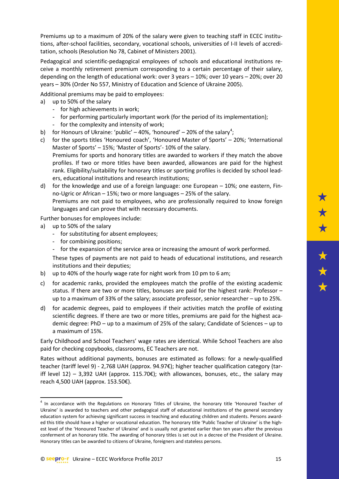Premiums up to a maximum of 20% of the salary were given to teaching staff in ECEC institutions, after-school facilities, secondary, vocational schools, universities of I-II levels of accreditation, schools (Resolution No 78, Cabinet of Ministers 2001).

Pedagogical and scientific-pedagogical employees of schools and educational institutions receive a monthly retirement premium corresponding to a certain percentage of their salary, depending on the length of educational work: over 3 years – 10%; over 10 years – 20%; over 20 years – 30% (Order No 557, Ministry of Education and Science of Ukraine 2005).

Additional premiums may be paid to employees:

- a) up to 50% of the salary
	- for high achievements in work;
	- for performing particularly important work (for the period of its implementation);
	- for the complexity and intensity of work;
- b) for Honours of Ukraine: 'public'  $-40\%$  $-40\%$  $-40\%$ , 'honoured'  $-20\%$  of the salary<sup>4</sup>;
- c) for the sports titles 'Honoured coach', 'Honoured Master of Sports' 20%; 'International Master of Sports' – 15%; 'Master of Sports'- 10% of the salary. Premiums for sports and honorary titles are awarded to workers if they match the above profiles. If two or more titles have been awarded, allowances are paid for the highest rank. Eligibility/suitability for honorary titles or sporting profiles is decided by school leaders, educational institutions and research institutions;
- d) for the knowledge and use of a foreign language: one European 10%; one eastern, Finno-Ugric or African – 15%; two or more languages – 25% of the salary. Premiums are not paid to employees, who are professionally required to know foreign languages and can prove that with necessary documents.

Further bonuses for employees include:

a) up to 50% of the salary

**.** 

- for substituting for absent employees;
- for combining positions;
- for the expansion of the service area or increasing the amount of work performed.

These types of payments are not paid to heads of educational institutions, and research institutions and their deputies;

- b) up to 40% of the hourly wage rate for night work from 10 pm to 6 am;
- c) for academic ranks, provided the employees match the profile of the existing academic status. If there are two or more titles, bonuses are paid for the highest rank: Professor – up to a maximum of 33% of the salary; associate professor, senior researcher – up to 25%.
- d) for academic degrees, paid to employees if their activities match the profile of existing scientific degrees. If there are two or more titles, premiums are paid for the highest academic degree: PhD – up to a maximum of 25% of the salary; Candidate of Sciences – up to a maximum of 15%.

Early Childhood and School Teachers' wage rates are identical. While School Teachers are also paid for checking copybooks, classrooms, EC Teachers are not.

Rates without additional payments, bonuses are estimated as follows: for a newly-qualified teacher (tariff level 9) - 2,768 UAH (approx. 94.97€); higher teacher qualification category (tariff level 12) – 3,392 UAH (approx. 115.70 $\varepsilon$ ); with allowances, bonuses, etc., the salary may reach 4,500 UAH (approx. 153.50€).

<span id="page-14-0"></span><sup>&</sup>lt;sup>4</sup> In accordance with the Regulations on Honorary Titles of Ukraine, the honorary title 'Honoured Teacher of Ukraine' is awarded to teachers and other pedagogical staff of educational institutions of the general secondary education system for achieving significant success in teaching and educating children and students. Persons awarded this title should have a higher or vocational education. The honorary title 'Public Teacher of Ukraine' is the highest level of the 'Honoured Teacher of Ukraine' and is usually not granted earlier than ten years after the previous conferment of an honorary title. The awarding of honorary titles is set out in a decree of the President of Ukraine. Honorary titles can be awarded to citizens of Ukraine, foreigners and stateless persons.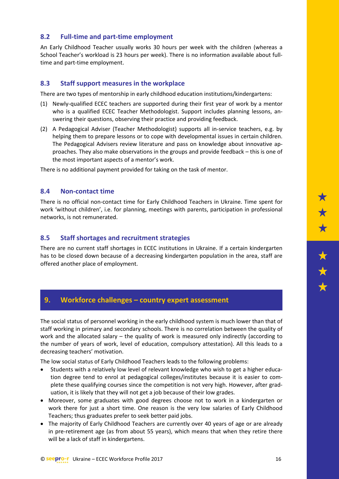#### <span id="page-15-0"></span>**8.2 Full-time and part-time employment**

An Early Childhood Teacher usually works 30 hours per week with the children (whereas a School Teacher's workload is 23 hours per week). There is no information available about fulltime and part-time employment.

#### <span id="page-15-1"></span>**8.3 Staff support measures in the workplace**

There are two types of mentorship in early childhood education institutions/kindergartens:

- (1) Newly-qualified ECEC teachers are supported during their first year of work by a mentor who is a qualified ECEC Teacher Methodologist. Support includes planning lessons, answering their questions, observing their practice and providing feedback.
- (2) A Pedagogical Adviser (Teacher Methodologist) supports all in-service teachers, e.g. by helping them to prepare lessons or to cope with developmental issues in certain children. The Pedagogical Advisers review literature and pass on knowledge about innovative approaches. They also make observations in the groups and provide feedback – this is one of the most important aspects of a mentor's work.

There is no additional payment provided for taking on the task of mentor.

#### <span id="page-15-2"></span>**8.4 Non-contact time**

There is no official non-contact time for Early Childhood Teachers in Ukraine. Time spent for work 'without children', i.e. for planning, meetings with parents, participation in professional networks, is not remunerated.

#### <span id="page-15-3"></span>**8.5 Staff shortages and recruitment strategies**

There are no current staff shortages in ECEC institutions in Ukraine. If a certain kindergarten has to be closed down because of a decreasing kindergarten population in the area, staff are offered another place of employment.

#### <span id="page-15-4"></span>**9. Workforce challenges – country expert assessment**

The social status of personnel working in the early childhood system is much lower than that of staff working in primary and secondary schools. There is no correlation between the quality of work and the allocated salary – the quality of work is measured only indirectly (according to the number of years of work, level of education, compulsory attestation). All this leads to a decreasing teachers' motivation.

The low social status of Early Childhood Teachers leads to the following problems:

- Students with a relatively low level of relevant knowledge who wish to get a higher education degree tend to enrol at pedagogical colleges/institutes because it is easier to complete these qualifying courses since the competition is not very high. However, after graduation, it is likely that they will not get a job because of their low grades.
- Moreover, some graduates with good degrees choose not to work in a kindergarten or work there for just a short time. One reason is the very low salaries of Early Childhood Teachers; thus graduates prefer to seek better paid jobs.
- The majority of Early Childhood Teachers are currently over 40 years of age or are already in pre-retirement age (as from about 55 years), which means that when they retire there will be a lack of staff in kindergartens.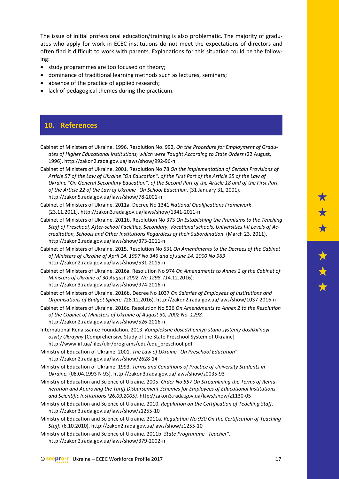The issue of initial professional education/training is also problematic. The majority of graduates who apply for work in ECEC institutions do not meet the expectations of directors and often find it difficult to work with parents. Explanations for this situation could be the following:

- study programmes are too focused on theory;
- dominance of traditional learning methods such as lectures, seminars;
- absence of the practice of applied research;
- lack of pedagogical themes during the practicum.

## <span id="page-16-0"></span>**10. References**

- Cabinet of Ministers of Ukraine. 1996. Resolution No. 992, *On the Procedure for Employment of Graduates of Higher Educational Institutions, which were Taught According to State Orders* (22 August, 1996). [http://zakon2.rada.gov.ua/laws/show/992-96-](http://zakon2.rada.gov.ua/laws/show/992-96-%D0%BF)п
- Cabinet of Ministers of Ukraine. 2001. Resolution No 78 *On the Implementation of Certain Provisions of Article 57 of the Law of Ukraine "On Education", of the First Part of the Article 25 of the Law of Ukraine "On General Secondary Education", of the Second Part of the Article 18 and of the First Part of the Article 22 of the Law of Ukraine "On School Education*. (31 January 31, 2001). [http://zakon5.rada.gov.ua/laws/show/78-2001-](http://zakon5.rada.gov.ua/laws/show/78-2001-%D0%BF)п
- Cabinet of Ministers of Ukraine. 2011a. Decree No 1341 *National Qualifications Framework*. (23.11.2011)[. http://zakon3.rada.gov.ua/laws/show/1341-2011-](http://zakon3.rada.gov.ua/laws/show/1341-2011-%D0%BF)п
- Cabinet of Ministers of Ukraine. 2011b. Resolution No 373 *On Establishing the Premiums to the Teaching Staff of Preschool, After-school Facilities, Secondary, Vocational schools, Universities I-II Levels of Accreditation, Schools and Other Institutions Regardless of their Subordination*. (March 23, 2011). [http://zakon2.rada.gov.ua/laws/show/373-2011-](http://zakon2.rada.gov.ua/laws/show/373-2011-%D0%BF)п
- Cabinet of Ministers of Ukraine. 2015. Resolution No 531 *On Amendments to the Decrees of the Cabinet of Ministers of Ukraine of April 14, 1997 No 346 and of June 14, 2000 No 963* [http://zakon2.rada.gov.ua/laws/show/531-2015-](http://zakon2.rada.gov.ua/laws/show/531-2015-%D0%BF)п
- Cabinet of Ministers of Ukraine. 2016a. Resolution No 974 *On Amendments to Annex 2 of the Cabinet of Ministers of Ukraine of 30 August 2002*, *No 1298. (1*4.12.2016). [http://zakon3.rada.gov.ua/laws/show/974-2016-](http://zakon3.rada.gov.ua/laws/show/974-2016-%D0%BF)п
- Cabinet of Ministers of Ukraine. 2016b. Decree No 1037 *On Salaries of Employees of Institutions and Organisations of Budget Sphere. (*28.12.2016). [http://zakon2.rada.gov.ua/laws/show/1037-2016-](http://zakon2.rada.gov.ua/laws/show/1037-2016-%D0%BF)п
- Cabinet of Ministers of Ukraine. 2016c. Resolution No 526 *On Amendments to Annex 2 to the Resolution of the Cabinet of Ministers of Ukraine of August 30, 2002 No. 1298.* [http://zakon2.rada.gov.ua/laws/show/526-2016-](http://zakon2.rada.gov.ua/laws/show/526-2016-%D0%BF)п
- International Renaissance Foundation. 2013. *Kompleksne doslidzhennya stanu systemy doshkilʹnoyi osvity Ukrayiny* [Comprehensive Study of the State Preschool System of Ukraine] [http://www.irf.ua/files/ukr/programs/edu/edu\\_preschool.pdf](http://www.irf.ua/files/ukr/programs/edu/edu_preschool.pdf)
- Ministry of Education of Ukraine. 2001. *The Law of Ukraine "On Preschool Education"* http://zakon2.rada.gov.ua/laws/show/2628-14
- Ministry of Education of Ukraine. 1993. *Terms and Conditions of Practice of University Students in Ukraine.* (08.04.1993 N 93). <http://zakon3.rada.gov.ua/laws/show/z0035-93>
- Ministry of Education and Science of Ukraine. 2005. *Order No 557 On Streamlining the Terms of Remuneration and Approving the Tariff Disbursement Schemes for Employees of Educational Institutions and Scientific Institutions (26.09.2005).* http://zakon3.rada.gov.ua/laws/show/z1130-05
- Ministry of Education and Science of Ukraine. 2010. *Regulation on the Certification of Teaching Staff*. <http://zakon3.rada.gov.ua/laws/show/z1255-10>
- Ministry of Education and Science of Ukraine. 2011a. *Regulation No 930 On the Certification of Teaching Staff.* (6.10*.*2010). <http://zakon2.rada.gov.ua/laws/show/z1255-10>

Ministry of Education and Science of Ukraine. 2011b. *State Programme "Teacher".* [http://zakon2.rada.gov.ua/laws/show/379-2002-](http://zakon2.rada.gov.ua/laws/show/379-2002-%D0%BF)п